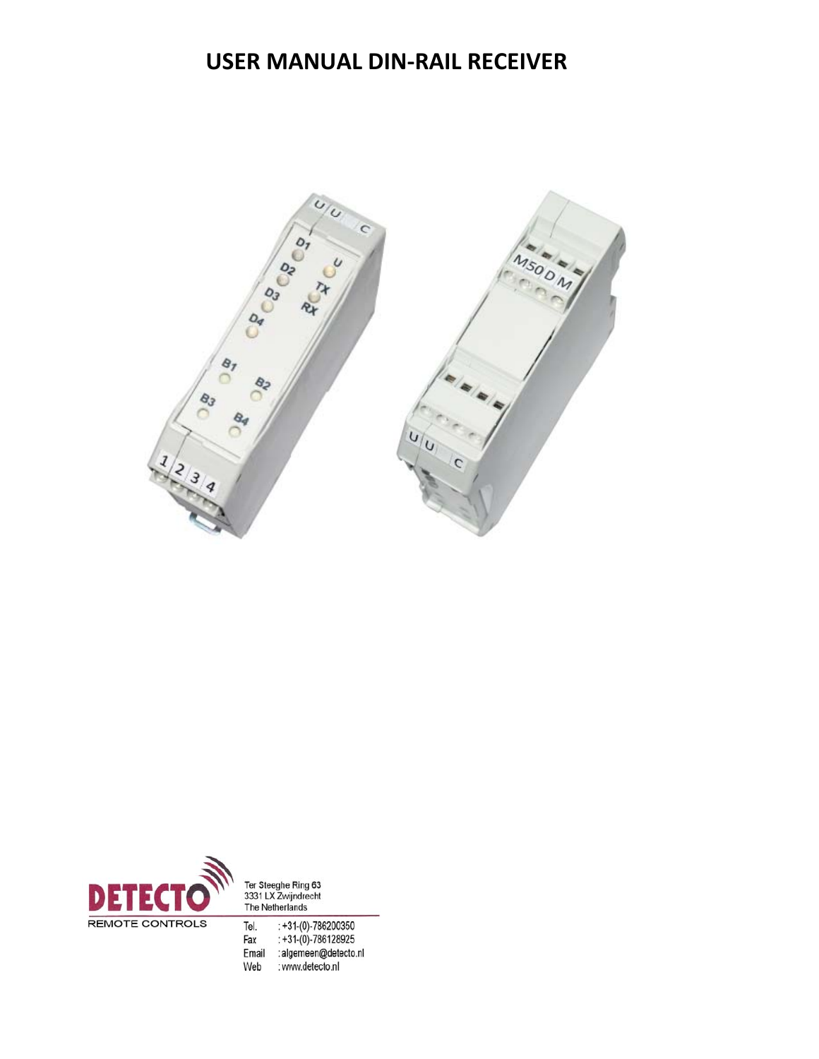# **USER MANUAL DIN-RAIL RECEIVER**





Ter Steeghe Ring 63<br>3331 LX Zwijndrecht<br>The Netherlands

: +31-(0)-786200350<br>: +31-(0)-786128925<br>: algemeen@detecto.nl Fax Email : www.detecto.nl Web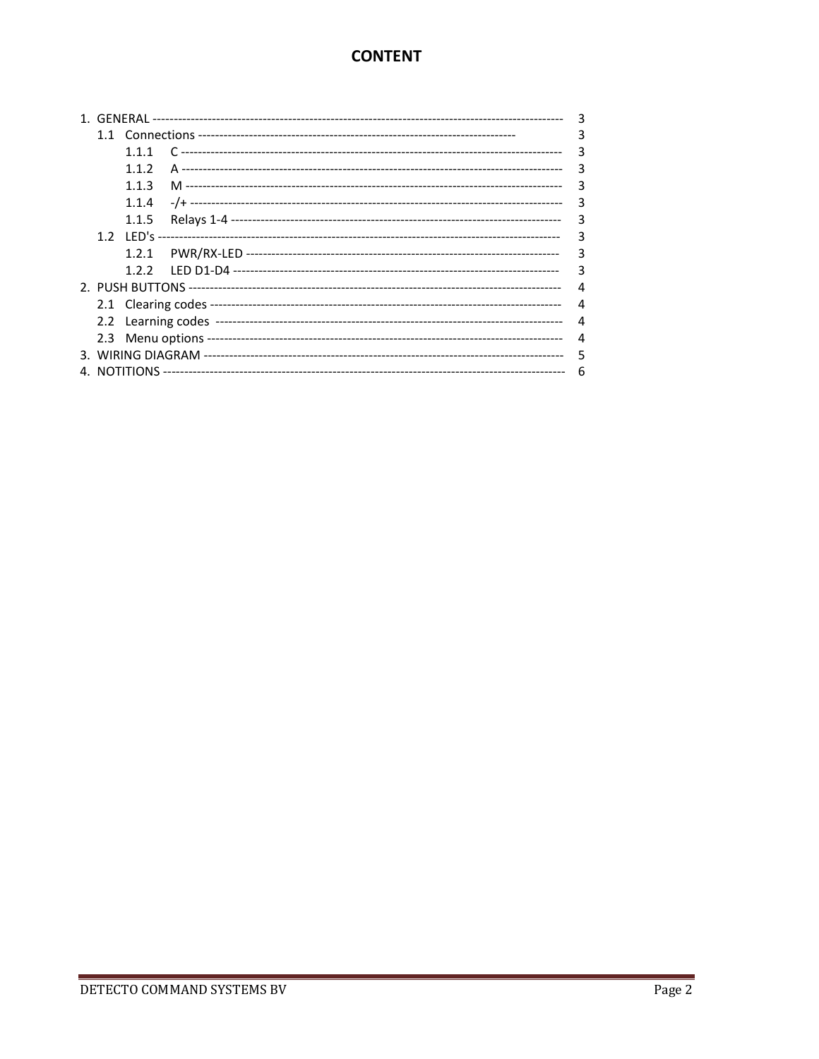# **CONTENT**

|  |       |  | 3 |
|--|-------|--|---|
|  |       |  | 3 |
|  | 111   |  | 3 |
|  | 112   |  | 3 |
|  | 1.1.3 |  | 3 |
|  | 1.1.4 |  | 3 |
|  | 1.1.5 |  | 3 |
|  |       |  | 3 |
|  |       |  | 3 |
|  |       |  | 3 |
|  |       |  | 4 |
|  |       |  | 4 |
|  |       |  | 4 |
|  |       |  | 4 |
|  |       |  | 5 |
|  |       |  | 6 |
|  |       |  |   |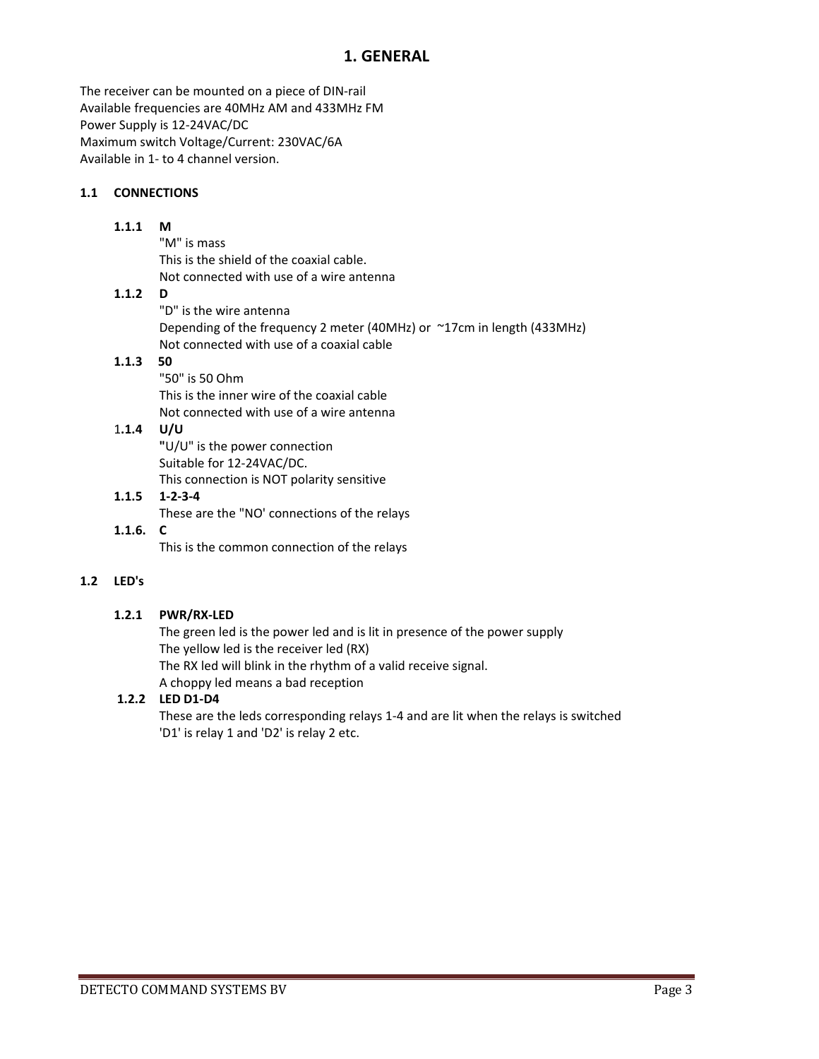## **1. GENERAL**

The receiver can be mounted on a piece of DIN‐rail Available frequencies are 40MHz AM and 433MHz FM Power Supply is 12‐24VAC/DC Maximum switch Voltage/Current: 230VAC/6A Available in 1‐ to 4 channel version.

### **1.1 CONNECTIONS**

#### **1.1.1 M**

"M" is mass This is the shield of the coaxial cable. Not connected with use of a wire antenna

## **1.1.2 D**

"D" is the wire antenna Depending of the frequency 2 meter (40MHz) or ~17cm in length (433MHz) Not connected with use of a coaxial cable

## **1.1.3 50**

"50" is 50 Ohm This is the inner wire of the coaxial cable Not connected with use of a wire antenna

## 1**.1.4 U/U**

**"**U/U" is the power connection Suitable for 12‐24VAC/DC. This connection is NOT polarity sensitive

## **1.1.5 1‐2‐3‐4** These are the "NO' connections of the relays

#### $1.1.6.$  **C**

This is the common connection of the relays

## **1.2 LED's**

#### **1.2.1 PWR/RX‐LED**

The green led is the power led and is lit in presence of the power supply The yellow led is the receiver led (RX) The RX led will blink in the rhythm of a valid receive signal. A choppy led means a bad reception

## **1.2.2 LED D1‐D4**

These are the leds corresponding relays 1‐4 and are lit when the relays is switched 'D1' is relay 1 and 'D2' is relay 2 etc.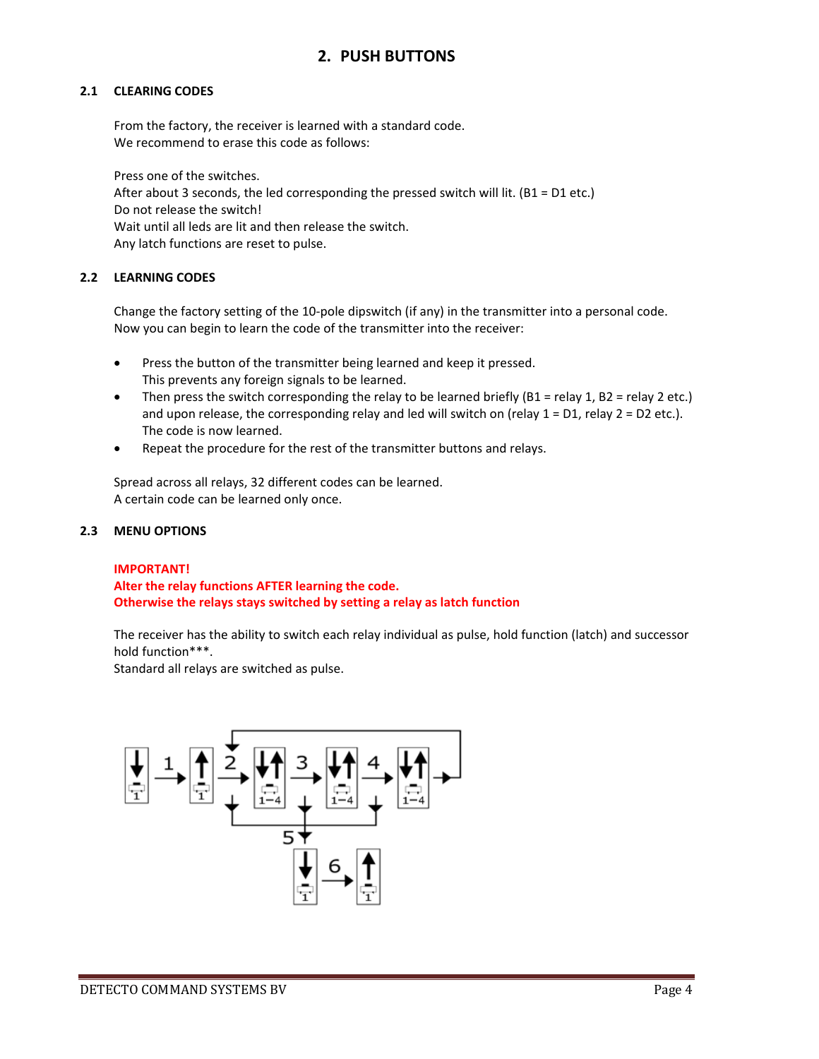## **2. PUSH BUTTONS**

#### **2.1 CLEARING CODES**

From the factory, the receiver is learned with a standard code. We recommend to erase this code as follows:

Press one of the switches. After about 3 seconds, the led corresponding the pressed switch will lit. (B1 = D1 etc.) Do not release the switch! Wait until all leds are lit and then release the switch. Any latch functions are reset to pulse.

#### **2.2 LEARNING CODES**

Change the factory setting of the 10‐pole dipswitch (if any) in the transmitter into a personal code. Now you can begin to learn the code of the transmitter into the receiver:

- Press the button of the transmitter being learned and keep it pressed. This prevents any foreign signals to be learned.
- Then press the switch corresponding the relay to be learned briefly (B1 = relay 1, B2 = relay 2 etc.) and upon release, the corresponding relay and led will switch on (relay  $1 = D1$ , relay  $2 = D2$  etc.). The code is now learned.
- Repeat the procedure for the rest of the transmitter buttons and relays.

Spread across all relays, 32 different codes can be learned. A certain code can be learned only once.

#### **2.3 MENU OPTIONS**

#### **IMPORTANT!**

**Alter the relay functions AFTER learning the code. Otherwise the relays stays switched by setting a relay as latch function**

The receiver has the ability to switch each relay individual as pulse, hold function (latch) and successor hold function\*\*\*.

Standard all relays are switched as pulse.

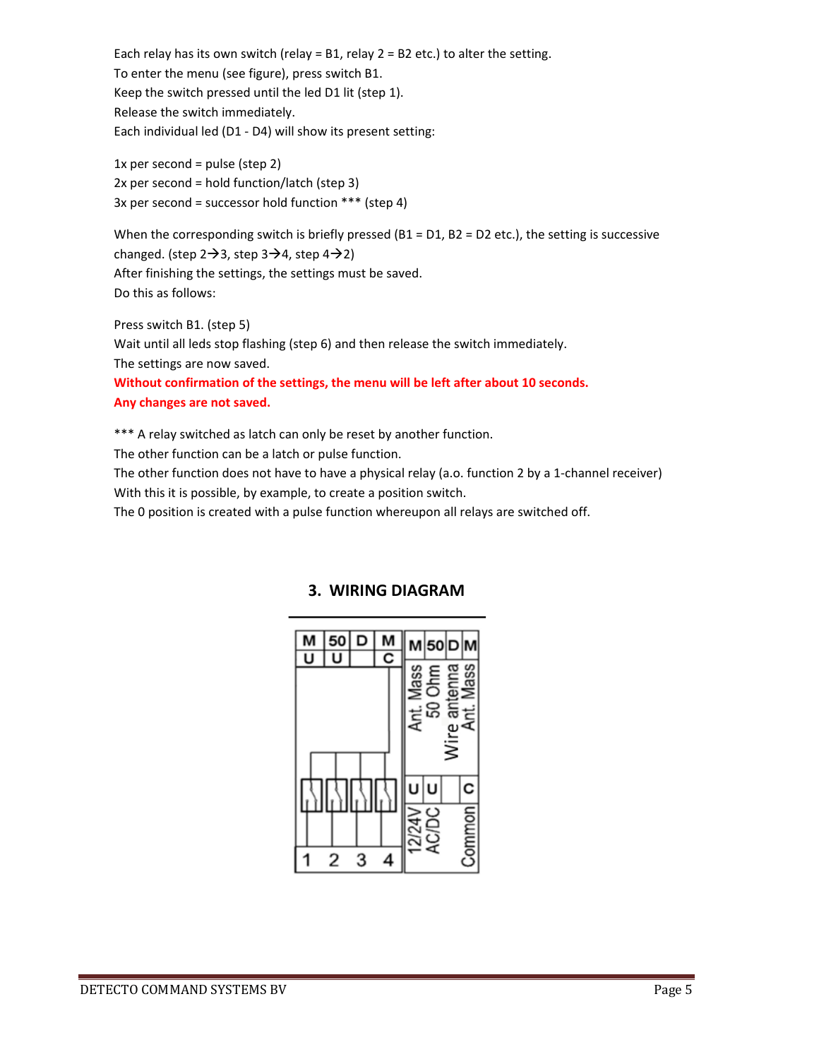Each relay has its own switch (relay = B1, relay  $2 = B2$  etc.) to alter the setting. To enter the menu (see figure), press switch B1. Keep the switch pressed until the led D1 lit (step 1). Release the switch immediately. Each individual led (D1 ‐ D4) will show its present setting:

1x per second = pulse (step  $2$ ) 2x per second = hold function/latch (step 3) 3x per second = successor hold function \*\*\* (step 4)

When the corresponding switch is briefly pressed ( $B1 = D1$ ,  $B2 = D2$  etc.), the setting is successive changed. (step  $2\rightarrow 3$ , step  $3\rightarrow 4$ , step  $4\rightarrow 2$ ) After finishing the settings, the settings must be saved. Do this as follows:

Press switch B1. (step 5) Wait until all leds stop flashing (step 6) and then release the switch immediately. The settings are now saved. **Without confirmation of the settings, the menu will be left after about 10 seconds. Any changes are not saved.**

\*\*\* A relay switched as latch can only be reset by another function. The other function can be a latch or pulse function. The other function does not have to have a physical relay (a.o. function 2 by a 1‐channel receiver)

With this it is possible, by example, to create a position switch.

The 0 position is created with a pulse function whereupon all relays are switched off.



# **3. WIRING DIAGRAM**